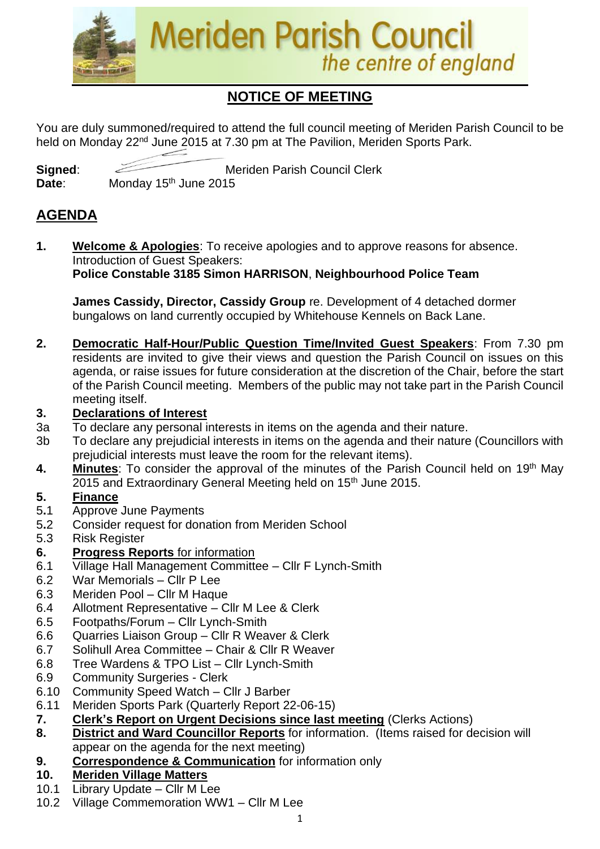

# **NOTICE OF MEETING**

You are duly summoned/required to attend the full council meeting of Meriden Parish Council to be held on Monday 22<sup>nd</sup> June 2015 at 7.30 pm at The Pavilion, Meriden Sports Park.

**Signed:** Meriden Parish Council Clerk Date: Monday 15<sup>th</sup> June 2015

### **AGENDA**

**1. Welcome & Apologies**: To receive apologies and to approve reasons for absence. Introduction of Guest Speakers:

### **Police Constable 3185 Simon HARRISON**, **Neighbourhood Police Team**

**James Cassidy, Director, Cassidy Group** re. Development of 4 detached dormer bungalows on land currently occupied by Whitehouse Kennels on Back Lane.

**2. Democratic Half-Hour/Public Question Time/Invited Guest Speakers**: From 7.30 pm residents are invited to give their views and question the Parish Council on issues on this agenda, or raise issues for future consideration at the discretion of the Chair, before the start of the Parish Council meeting. Members of the public may not take part in the Parish Council meeting itself.

#### **3. Declarations of Interest**

- 3a To declare any personal interests in items on the agenda and their nature.
- 3b To declare any prejudicial interests in items on the agenda and their nature (Councillors with prejudicial interests must leave the room for the relevant items).
- **4. Minutes**: To consider the approval of the minutes of the Parish Council held on 19th May 2015 and Extraordinary General Meeting held on 15<sup>th</sup> June 2015.

#### **5. Finance**

- 5**.**1 Approve June Payments
- 5**.**2 Consider request for donation from Meriden School
- 5.3 Risk Register

### **6. Progress Reports** for information

- 6.1 Village Hall Management Committee Cllr F Lynch-Smith
- 6.2 War Memorials Cllr P Lee
- 6.3 Meriden Pool Cllr M Haque
- 6.4 Allotment Representative Cllr M Lee & Clerk
- 6.5 Footpaths/Forum Cllr Lynch-Smith
- 6.6 Quarries Liaison Group Cllr R Weaver & Clerk
- 6.7 Solihull Area Committee Chair & Cllr R Weaver
- 6.8 Tree Wardens & TPO List Cllr Lynch-Smith
- 6.9 Community Surgeries Clerk
- 6.10 Community Speed Watch Cllr J Barber
- 6.11 Meriden Sports Park (Quarterly Report 22-06-15)
- **7. Clerk's Report on Urgent Decisions since last meeting** (Clerks Actions)
- **8. District and Ward Councillor Reports** for information. (Items raised for decision will appear on the agenda for the next meeting)
- **9. Correspondence & Communication** for information only

### **10. Meriden Village Matters**

- 10.1 Library Update Cllr M Lee
- 10.2 Village Commemoration WW1 Cllr M Lee